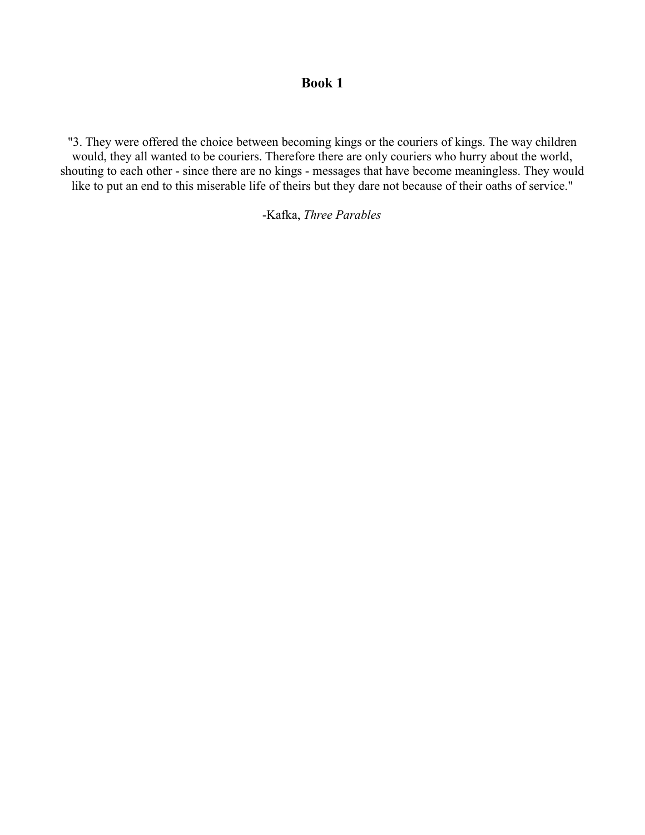## **Book 1**

"3. They were offered the choice between becoming kings or the couriers of kings. The way children would, they all wanted to be couriers. Therefore there are only couriers who hurry about the world, shouting to each other - since there are no kings - messages that have become meaningless. They would like to put an end to this miserable life of theirs but they dare not because of their oaths of service."

-Kafka, *Three Parables*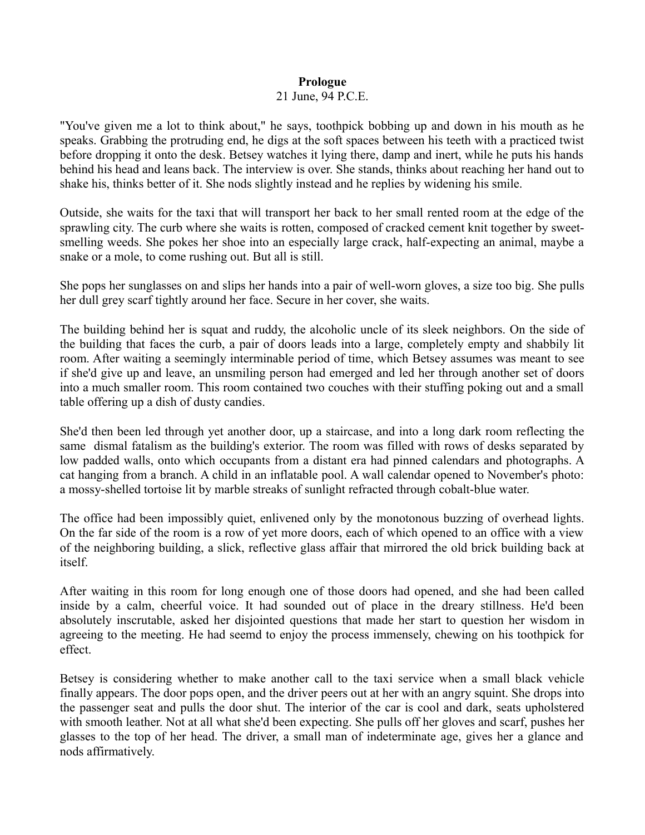### **Prologue**

#### 21 June, 94 P.C.E.

"You've given me a lot to think about," he says, toothpick bobbing up and down in his mouth as he speaks. Grabbing the protruding end, he digs at the soft spaces between his teeth with a practiced twist before dropping it onto the desk. Betsey watches it lying there, damp and inert, while he puts his hands behind his head and leans back. The interview is over. She stands, thinks about reaching her hand out to shake his, thinks better of it. She nods slightly instead and he replies by widening his smile.

Outside, she waits for the taxi that will transport her back to her small rented room at the edge of the sprawling city. The curb where she waits is rotten, composed of cracked cement knit together by sweetsmelling weeds. She pokes her shoe into an especially large crack, half-expecting an animal, maybe a snake or a mole, to come rushing out. But all is still.

She pops her sunglasses on and slips her hands into a pair of well-worn gloves, a size too big. She pulls her dull grey scarf tightly around her face. Secure in her cover, she waits.

The building behind her is squat and ruddy, the alcoholic uncle of its sleek neighbors. On the side of the building that faces the curb, a pair of doors leads into a large, completely empty and shabbily lit room. After waiting a seemingly interminable period of time, which Betsey assumes was meant to see if she'd give up and leave, an unsmiling person had emerged and led her through another set of doors into a much smaller room. This room contained two couches with their stuffing poking out and a small table offering up a dish of dusty candies.

She'd then been led through yet another door, up a staircase, and into a long dark room reflecting the same dismal fatalism as the building's exterior. The room was filled with rows of desks separated by low padded walls, onto which occupants from a distant era had pinned calendars and photographs. A cat hanging from a branch. A child in an inflatable pool. A wall calendar opened to November's photo: a mossy-shelled tortoise lit by marble streaks of sunlight refracted through cobalt-blue water.

The office had been impossibly quiet, enlivened only by the monotonous buzzing of overhead lights. On the far side of the room is a row of yet more doors, each of which opened to an office with a view of the neighboring building, a slick, reflective glass affair that mirrored the old brick building back at itself.

After waiting in this room for long enough one of those doors had opened, and she had been called inside by a calm, cheerful voice. It had sounded out of place in the dreary stillness. He'd been absolutely inscrutable, asked her disjointed questions that made her start to question her wisdom in agreeing to the meeting. He had seemd to enjoy the process immensely, chewing on his toothpick for effect.

Betsey is considering whether to make another call to the taxi service when a small black vehicle finally appears. The door pops open, and the driver peers out at her with an angry squint. She drops into the passenger seat and pulls the door shut. The interior of the car is cool and dark, seats upholstered with smooth leather. Not at all what she'd been expecting. She pulls off her gloves and scarf, pushes her glasses to the top of her head. The driver, a small man of indeterminate age, gives her a glance and nods affirmatively.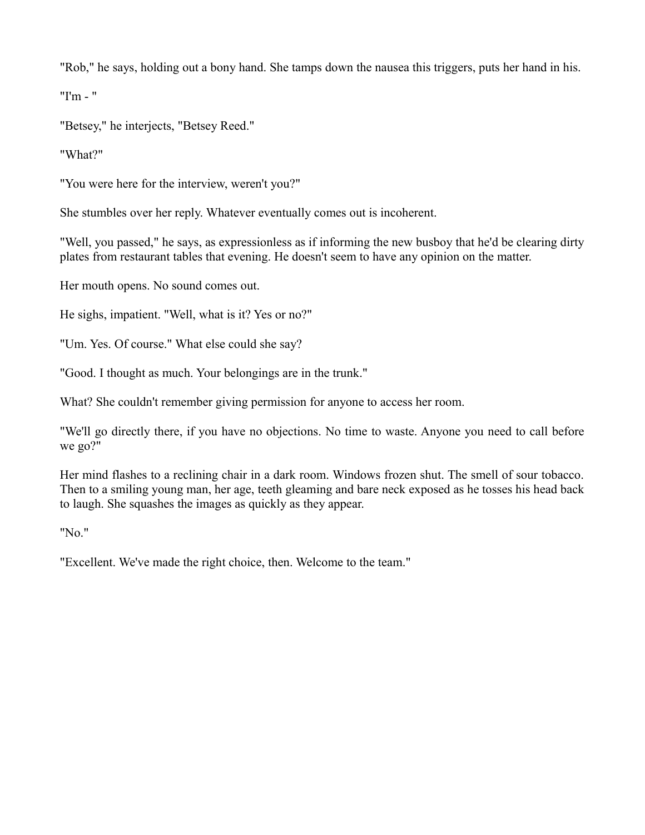"Rob," he says, holding out a bony hand. She tamps down the nausea this triggers, puts her hand in his.

"I'm - "

"Betsey," he interjects, "Betsey Reed."

"What?"

"You were here for the interview, weren't you?"

She stumbles over her reply. Whatever eventually comes out is incoherent.

"Well, you passed," he says, as expressionless as if informing the new busboy that he'd be clearing dirty plates from restaurant tables that evening. He doesn't seem to have any opinion on the matter.

Her mouth opens. No sound comes out.

He sighs, impatient. "Well, what is it? Yes or no?"

"Um. Yes. Of course." What else could she say?

"Good. I thought as much. Your belongings are in the trunk."

What? She couldn't remember giving permission for anyone to access her room.

"We'll go directly there, if you have no objections. No time to waste. Anyone you need to call before we go?"

Her mind flashes to a reclining chair in a dark room. Windows frozen shut. The smell of sour tobacco. Then to a smiling young man, her age, teeth gleaming and bare neck exposed as he tosses his head back to laugh. She squashes the images as quickly as they appear.

"No."

"Excellent. We've made the right choice, then. Welcome to the team."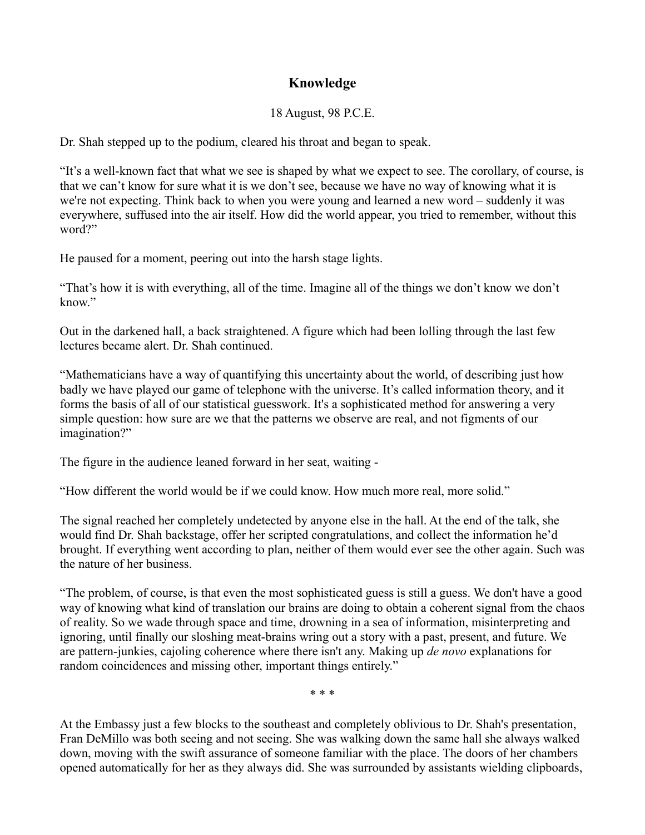# **Knowledge**

# 18 August, 98 P.C.E.

Dr. Shah stepped up to the podium, cleared his throat and began to speak.

"It's a well-known fact that what we see is shaped by what we expect to see. The corollary, of course, is that we can't know for sure what it is we don't see, because we have no way of knowing what it is we're not expecting. Think back to when you were young and learned a new word – suddenly it was everywhere, suffused into the air itself. How did the world appear, you tried to remember, without this word?"

He paused for a moment, peering out into the harsh stage lights.

"That's how it is with everything, all of the time. Imagine all of the things we don't know we don't know."

Out in the darkened hall, a back straightened. A figure which had been lolling through the last few lectures became alert. Dr. Shah continued.

"Mathematicians have a way of quantifying this uncertainty about the world, of describing just how badly we have played our game of telephone with the universe. It's called information theory, and it forms the basis of all of our statistical guesswork. It's a sophisticated method for answering a very simple question: how sure are we that the patterns we observe are real, and not figments of our imagination?"

The figure in the audience leaned forward in her seat, waiting -

"How different the world would be if we could know. How much more real, more solid."

The signal reached her completely undetected by anyone else in the hall. At the end of the talk, she would find Dr. Shah backstage, offer her scripted congratulations, and collect the information he'd brought. If everything went according to plan, neither of them would ever see the other again. Such was the nature of her business.

"The problem, of course, is that even the most sophisticated guess is still a guess. We don't have a good way of knowing what kind of translation our brains are doing to obtain a coherent signal from the chaos of reality. So we wade through space and time, drowning in a sea of information, misinterpreting and ignoring, until finally our sloshing meat-brains wring out a story with a past, present, and future. We are pattern-junkies, cajoling coherence where there isn't any. Making up *de novo* explanations for random coincidences and missing other, important things entirely."

\* \* \*

At the Embassy just a few blocks to the southeast and completely oblivious to Dr. Shah's presentation, Fran DeMillo was both seeing and not seeing. She was walking down the same hall she always walked down, moving with the swift assurance of someone familiar with the place. The doors of her chambers opened automatically for her as they always did. She was surrounded by assistants wielding clipboards,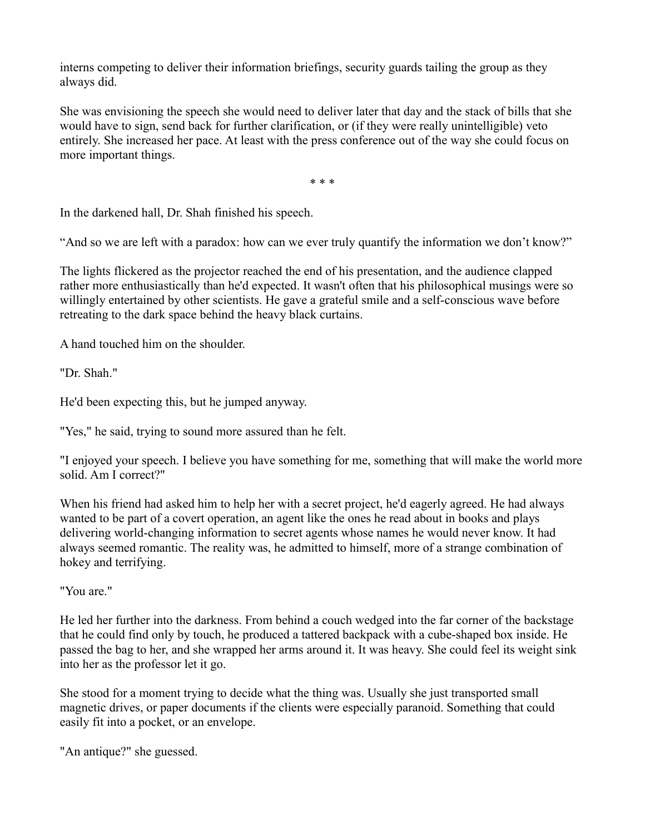interns competing to deliver their information briefings, security guards tailing the group as they always did.

She was envisioning the speech she would need to deliver later that day and the stack of bills that she would have to sign, send back for further clarification, or (if they were really unintelligible) veto entirely. She increased her pace. At least with the press conference out of the way she could focus on more important things.

\* \* \*

In the darkened hall, Dr. Shah finished his speech.

"And so we are left with a paradox: how can we ever truly quantify the information we don't know?"

The lights flickered as the projector reached the end of his presentation, and the audience clapped rather more enthusiastically than he'd expected. It wasn't often that his philosophical musings were so willingly entertained by other scientists. He gave a grateful smile and a self-conscious wave before retreating to the dark space behind the heavy black curtains.

A hand touched him on the shoulder.

"Dr. Shah."

He'd been expecting this, but he jumped anyway.

"Yes," he said, trying to sound more assured than he felt.

"I enjoyed your speech. I believe you have something for me, something that will make the world more solid. Am I correct?"

When his friend had asked him to help her with a secret project, he'd eagerly agreed. He had always wanted to be part of a covert operation, an agent like the ones he read about in books and plays delivering world-changing information to secret agents whose names he would never know. It had always seemed romantic. The reality was, he admitted to himself, more of a strange combination of hokey and terrifying.

"You are."

He led her further into the darkness. From behind a couch wedged into the far corner of the backstage that he could find only by touch, he produced a tattered backpack with a cube-shaped box inside. He passed the bag to her, and she wrapped her arms around it. It was heavy. She could feel its weight sink into her as the professor let it go.

She stood for a moment trying to decide what the thing was. Usually she just transported small magnetic drives, or paper documents if the clients were especially paranoid. Something that could easily fit into a pocket, or an envelope.

"An antique?" she guessed.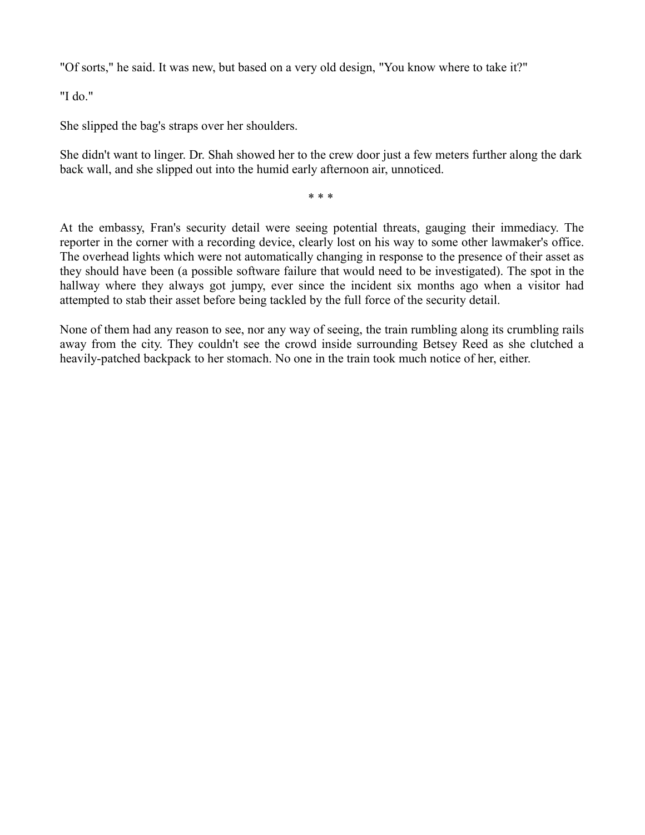"Of sorts," he said. It was new, but based on a very old design, "You know where to take it?"

"I do."

She slipped the bag's straps over her shoulders.

She didn't want to linger. Dr. Shah showed her to the crew door just a few meters further along the dark back wall, and she slipped out into the humid early afternoon air, unnoticed.

\* \* \*

At the embassy, Fran's security detail were seeing potential threats, gauging their immediacy. The reporter in the corner with a recording device, clearly lost on his way to some other lawmaker's office. The overhead lights which were not automatically changing in response to the presence of their asset as they should have been (a possible software failure that would need to be investigated). The spot in the hallway where they always got jumpy, ever since the incident six months ago when a visitor had attempted to stab their asset before being tackled by the full force of the security detail.

None of them had any reason to see, nor any way of seeing, the train rumbling along its crumbling rails away from the city. They couldn't see the crowd inside surrounding Betsey Reed as she clutched a heavily-patched backpack to her stomach. No one in the train took much notice of her, either.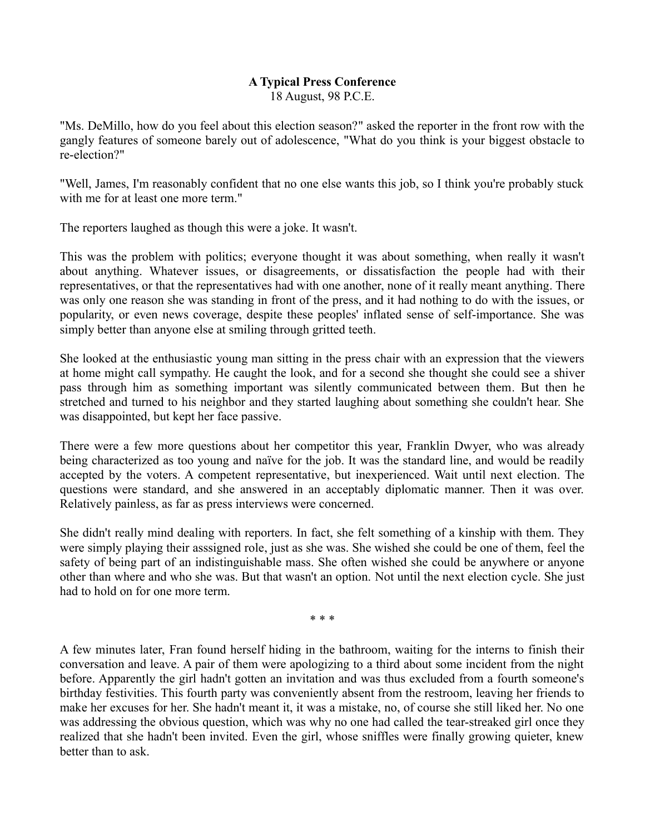# **A Typical Press Conference**

18 August, 98 P.C.E.

"Ms. DeMillo, how do you feel about this election season?" asked the reporter in the front row with the gangly features of someone barely out of adolescence, "What do you think is your biggest obstacle to re-election?"

"Well, James, I'm reasonably confident that no one else wants this job, so I think you're probably stuck with me for at least one more term."

The reporters laughed as though this were a joke. It wasn't.

This was the problem with politics; everyone thought it was about something, when really it wasn't about anything. Whatever issues, or disagreements, or dissatisfaction the people had with their representatives, or that the representatives had with one another, none of it really meant anything. There was only one reason she was standing in front of the press, and it had nothing to do with the issues, or popularity, or even news coverage, despite these peoples' inflated sense of self-importance. She was simply better than anyone else at smiling through gritted teeth.

She looked at the enthusiastic young man sitting in the press chair with an expression that the viewers at home might call sympathy. He caught the look, and for a second she thought she could see a shiver pass through him as something important was silently communicated between them. But then he stretched and turned to his neighbor and they started laughing about something she couldn't hear. She was disappointed, but kept her face passive.

There were a few more questions about her competitor this year, Franklin Dwyer, who was already being characterized as too young and naïve for the job. It was the standard line, and would be readily accepted by the voters. A competent representative, but inexperienced. Wait until next election. The questions were standard, and she answered in an acceptably diplomatic manner. Then it was over. Relatively painless, as far as press interviews were concerned.

She didn't really mind dealing with reporters. In fact, she felt something of a kinship with them. They were simply playing their asssigned role, just as she was. She wished she could be one of them, feel the safety of being part of an indistinguishable mass. She often wished she could be anywhere or anyone other than where and who she was. But that wasn't an option. Not until the next election cycle. She just had to hold on for one more term.

\* \* \*

A few minutes later, Fran found herself hiding in the bathroom, waiting for the interns to finish their conversation and leave. A pair of them were apologizing to a third about some incident from the night before. Apparently the girl hadn't gotten an invitation and was thus excluded from a fourth someone's birthday festivities. This fourth party was conveniently absent from the restroom, leaving her friends to make her excuses for her. She hadn't meant it, it was a mistake, no, of course she still liked her. No one was addressing the obvious question, which was why no one had called the tear-streaked girl once they realized that she hadn't been invited. Even the girl, whose sniffles were finally growing quieter, knew better than to ask.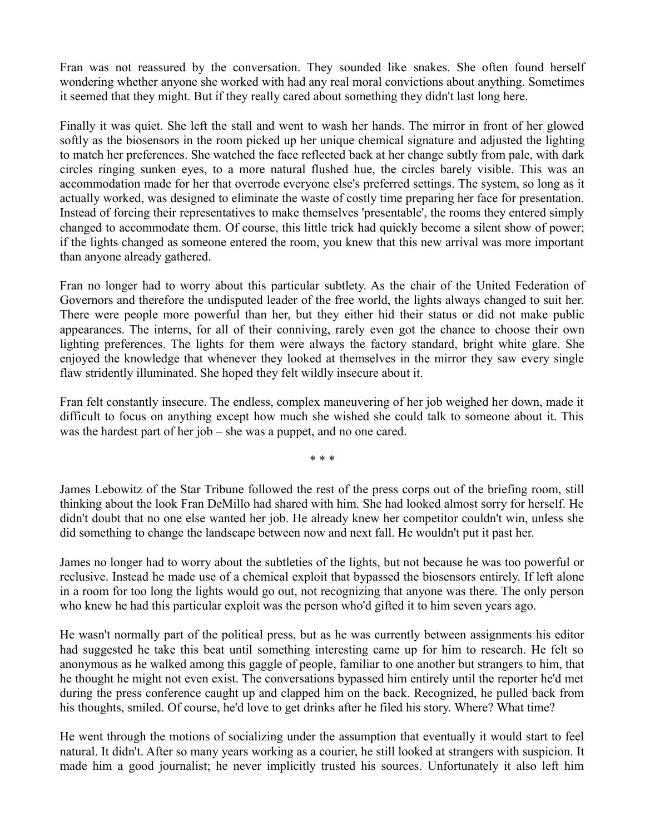Fran was not reassured by the conversation. They sounded like snakes. She often found herself wondering whether anyone she worked with had any real moral convictions about anything. Sometimes it seemed that they might. But if they really cared about something they didn't last long here.

Finally it was quiet. She left the stall and went to wash her hands. The mirror in front of her glowed softly as the biosensors in the room picked up her unique chemical signature and adjusted the lighting to match her preferences. She watched the face reflected back at her change subtly from pale, with dark circles ringing sunken eyes, to a more natural flushed hue, the circles barely visible. This was an accommodation made for her that overrode everyone else's preferred settings. The system, so long as it actually worked, was designed to eliminate the waste of costly time preparing her face for presentation. Instead of forcing their representatives to make themselves 'presentable', the rooms they entered simply changed to accommodate them. Of course, this little trick had quickly become a silent show of power; if the lights changed as someone entered the room, you knew that this new arrival was more important than anyone already gathered.

Fran no longer had to worry about this particular subtlety. As the chair of the United Federation of Governors and therefore the undisputed leader of the free world, the lights always changed to suit her. There were people more powerful than her, but they either hid their status or did not make public appearances. The interns, for all of their conniving, rarely even got the chance to choose their own lighting preferences. The lights for them were always the factory standard, bright white glare. She enjoyed the knowledge that whenever they looked at themselves in the mirror they saw every single flaw stridently illuminated. She hoped they felt wildly insecure about it.

Fran felt constantly insecure. The endless, complex maneuvering of her job weighed her down, made it difficult to focus on anything except how much she wished she could talk to someone about it. This was the hardest part of her job – she was a puppet, and no one cared.

\* \* \*

James Lebowitz of the Star Tribune followed the rest of the press corps out of the briefing room, still thinking about the look Fran DeMillo had shared with him. She had looked almost sorry for herself. He didn't doubt that no one else wanted her job. He already knew her competitor couldn't win, unless she did something to change the landscape between now and next fall. He wouldn't put it past her.

James no longer had to worry about the subtleties of the lights, but not because he was too powerful or reclusive. Instead he made use of a chemical exploit that bypassed the biosensors entirely. If left alone in a room for too long the lights would go out, not recognizing that anyone was there. The only person who knew he had this particular exploit was the person who'd gifted it to him seven years ago.

He wasn't normally part of the political press, but as he was currently between assignments his editor had suggested he take this beat until something interesting came up for him to research. He felt so anonymous as he walked among this gaggle of people, familiar to one another but strangers to him, that he thought he might not even exist. The conversations bypassed him entirely until the reporter he'd met during the press conference caught up and clapped him on the back. Recognized, he pulled back from his thoughts, smiled. Of course, he'd love to get drinks after he filed his story. Where? What time?

He went through the motions of socializing under the assumption that eventually it would start to feel natural. It didn't. After so many years working as a courier, he still looked at strangers with suspicion. It made him a good journalist; he never implicitly trusted his sources. Unfortunately it also left him